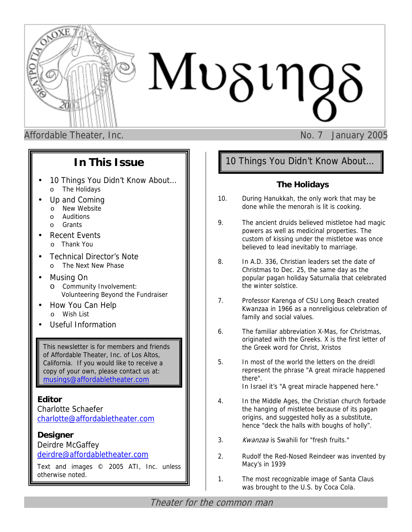

Affordable Theater, Inc. No. 7 January 2005

# **In This Issue**

- 10 Things You Didn't Know About... o The Holidays
- Up and Coming
	- o New Website
	- o Auditions
	- o Grants
- **Recent Events** 
	- o Thank You
- Technical Director's Note o The Next New Phase
- Musing On
	- o Community Involvement: Volunteering Beyond the Fundraiser
- How You Can Help o Wish List
- Useful Information

This newsletter is for members and friends of Affordable Theater, Inc. of Los Altos, California. If you would like to receive a copy of your own, please contact us at: [musings@affordabletheater.com](mailto:musings@affordabletheater.com)

## **Editor**

Charlotte Schaefer [charlotte@affordabletheater.com](mailto:charlotte@affordabletheater.com)

## **Designer** Deirdre McGaffey [deirdre@affordabletheater.com](mailto:deirdre@affordabletheater.com)

Text and images © 2005 ATI, Inc. unless otherwise noted.

# 10 Things You Didn't Know About…

## **The Holidays**

- 10. During Hanukkah, the only work that may be done while the menorah is lit is cooking.
- 9. The ancient druids believed mistletoe had magic powers as well as medicinal properties. The custom of kissing under the mistletoe was once believed to lead inevitably to marriage.
- 8. In A.D. 336, Christian leaders set the date of Christmas to Dec. 25, the same day as the popular pagan holiday Saturnalia that celebrated the winter solstice.
- 7. Professor Karenga of CSU Long Beach created Kwanzaa in 1966 as a nonreligious celebration of family and social values.
- 6. The familiar abbreviation X-Mas, for Christmas, originated with the Greeks. X is the first letter of the Greek word for Christ, Xristos
- 5. In most of the world the letters on the dreidl represent the phrase "A great miracle happened there". In Israel it's "A great miracle happened here."
- 4. In the Middle Ages, the Christian church forbade the hanging of mistletoe because of its pagan origins, and suggested holly as a substitute, hence "deck the halls with boughs of holly".
- 3. Kwanzaa is Swahili for "fresh fruits."
- 2. Rudolf the Red-Nosed Reindeer was invented by Macy's in 1939
- 1. The most recognizable image of Santa Claus was brought to the U.S. by Coca Cola.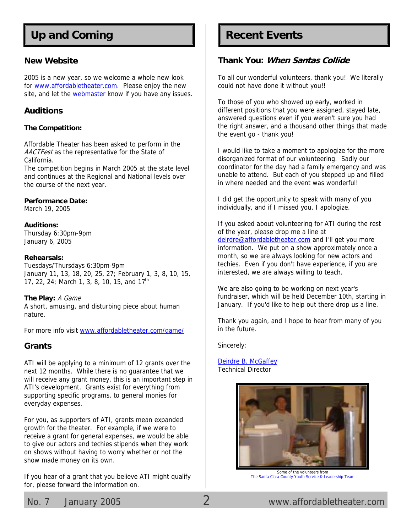# Up and Coming **Recent Events**

## **New Website**

2005 is a new year, so we welcome a whole new look for [www.affordabletheater.com.](http://www.affordabletheater.com/) Please enjoy the new site, and let the [webmaster k](mailto:webmaster@affordabletheater.com)now if you have any issues.

## **Auditions**

## **The Competition:**

Affordable Theater has been asked to perform in the AACTFest as the representative for the State of California.

The competition begins in March 2005 at the state level and continues at the Regional and National levels over the course of the next year.

## **Performance Date:**

March 19, 2005

## **Auditions:**

Thursday 6:30pm-9pm January 6, 2005

## **Rehearsals:**

Tuesdays/Thursdays 6:30pm-9pm January 11, 13, 18, 20, 25, 27; February 1, 3, 8, 10, 15, 17, 22, 24; March 1, 3, 8, 10, 15, and 17<sup>th</sup>

## **The Play:** A Game

A short, amusing, and disturbing piece about human nature.

For more info visit w[ww.affordabletheater.com/game/](http://www.affordabletheater.com/game/)

## **Grants**

ATI will be applying to a minimum of 12 grants over the next 12 months. While there is no guarantee that we will receive any grant money, this is an important step in ATI's development. Grants exist for everything from supporting specific programs, to general monies for everyday expenses.

For you, as supporters of ATI, grants mean expanded growth for the theater. For example, if we were to receive a grant for general expenses, we would be able to give our actors and techies stipends when they work on shows without having to worry whether or not the show made money on its own.

If you hear of a grant that you believe ATI might qualify for, please forward the information on.

## **Thank You: When Santas Collide**

To all our wonderful volunteers, thank you! We literally could not have done it without you!!

To those of you who showed up early, worked in different positions that you were assigned, stayed late, answered questions even if you weren't sure you had the right answer, and a thousand other things that made the event go - thank you!

I would like to take a moment to apologize for the more disorganized format of our volunteering. Sadly our coordinator for the day had a family emergency and was unable to attend. But each of you stepped up and filled in where needed and the event was wonderful!

I did get the opportunity to speak with many of you individually, and if I missed you, I apologize.

If you asked about volunteering for ATI during the rest of the year, please drop me a line at [deirdre@affordabletheater.com an](mailto:deirdre@affordabletheater.com)d I'll get you more information. We put on a show approximately once a month, so we are always looking for new actors and techies. Even if you don't have experience, if you are interested, we are always willing to teach.

We are also going to be working on next year's fundraiser, which will be held December 10th, starting in January. If you'd like to help out there drop us a line.

Thank you again, and I hope to hear from many of you in the future.

Sincerely;

[Deirdre B. McGaffey](mailto:deirdre@affordabletheater.com) Technical Director



Some of the volunteers from The Santa Clara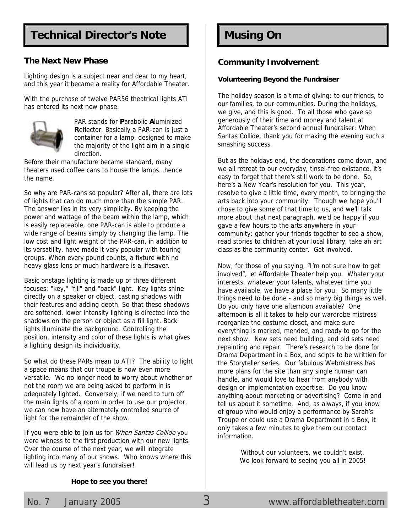# **Technical Director's Note | | Musing On**

## **The Next New Phase**

Lighting design is a subject near and dear to my heart, and this year it became a reality for Affordable Theater.

With the purchase of twelve PAR56 theatrical lights ATI has entered its next new phase.



PAR stands for **P**arabolic **A**luminized **R**eflector. Basically a PAR-can is just a container for a lamp, designed to make the majority of the light aim in a single direction.

Before their manufacture became standard, many theaters used coffee cans to house the lamps…hence the name.

So why are PAR-cans so popular? After all, there are lots of lights that can do much more than the simple PAR. The answer lies in its very simplicity. By keeping the power and wattage of the beam within the lamp, which is easily replaceable, one PAR-can is able to produce a wide range of beams simply by changing the lamp. The low cost and light weight of the PAR-can, in addition to its versatility, have made it very popular with touring groups. When every pound counts, a fixture with no heavy glass lens or much hardware is a lifesaver.

Basic onstage lighting is made up of three different focuses: "key," "fill" and "back" light. Key lights shine directly on a speaker or object, casting shadows with their features and adding depth. So that these shadows are softened, lower intensity lighting is directed into the shadows on the person or object as a fill light. Back lights illuminate the background. Controlling the position, intensity and color of these lights is what gives a lighting design its individuality.

So what do these PARs mean to ATI? The ability to light a space means that our troupe is now even more versatile. We no longer need to worry about whether or not the room we are being asked to perform in is adequately lighted. Conversely, if we need to turn off the main lights of a room in order to use our projector, we can now have an alternately controlled source of light for the remainder of the show.

If you were able to join us for *When Santas Collide* you were witness to the first production with our new lights. Over the course of the next year, we will integrate lighting into many of our shows. Who knows where this will lead us by next year's fundraiser!

## **Community Involvement**

## **Volunteering Beyond the Fundraiser**

The holiday season is a time of giving: to our friends, to our families, to our communities. During the holidays, we give, and this is good. To all those who gave so generously of their time and money and talent at Affordable Theater's second annual fundraiser: When Santas Collide, thank you for making the evening such a smashing success.

But as the holdays end, the decorations come down, and we all retreat to our everyday, tinsel-free existance, it's easy to forget that there's still work to be done. So, here's a New Year's resolution for you. This year, resolve to give a little time, every month, to bringing the arts back into your community. Though we hope you'll chose to give some of that time to us, and we'll talk more about that next paragraph, we'd be happy if you gave a few hours to the arts anywhere in your community: gather your friends together to see a show, read stories to children at your local library, take an art class as the community center. Get involved.

Now, for those of you saying, "I'm not sure how to get involved", let Affordable Theater help you. Whater your interests, whatever your talents, whatever time you have available, we have a place for you. So many little things need to be done - and so many big things as well. Do you only have one afternoon available? One afternoon is all it takes to help our wardrobe mistress reorganize the costume closet, and make sure everything is marked, mended, and ready to go for the next show. New sets need building, and old sets need repainting and repair. There's research to be done for Drama Department in a Box, and scipts to be writtien for the Storyteller series. Our fabulous Webmistress has more plans for the site than any single human can handle, and would love to hear from anybody with design or implementation expertise. Do you know anything about marketing or advertising? Come in and tell us about it sometime. And, as always, if you know of group who would enjoy a performance by Sarah's Troupe or could use a Drama Department in a Box, it only takes a few minutes to give them our contact information.

> Without our volunteers, we couldn't exist. We look forward to seeing you all in 2005!

## **Hope to see you there!**